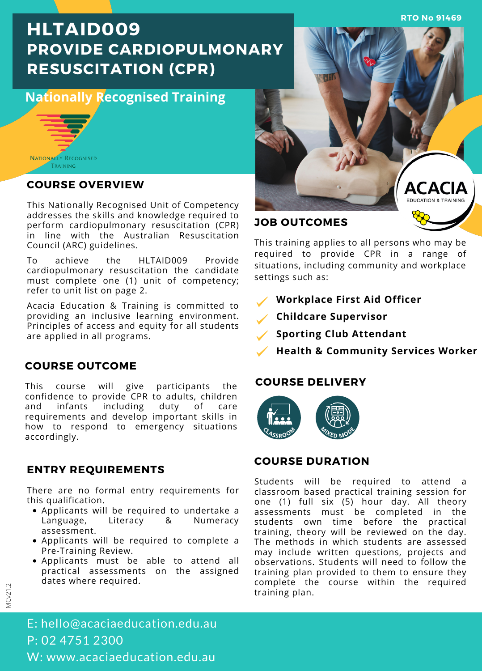**RTO No 91469**

### **HLTAID009 PROVIDE CARDIOPULMONARY RESUSCITATION (CPR)**

**Nationally Recognised Training**



### **COURSE OVERVIEW**

This Nationally Recognised Unit of Competency addresses the skills and knowledge required to perform cardiopulmonary resuscitation (CPR) in line with the Australian Resuscitation Council (ARC) guidelines.

To achieve the HLTAID009 Provide cardiopulmonary resuscitation the candidate must complete one (1) unit of competency; refer to unit list on page 2.

Acacia Education & Training is committed to providing an inclusive learning environment. Principles of access and equity for all students are applied in all programs.

### **COURSE OUTCOME**

This course will give participants the confidence to provide CPR to adults, children<br>and infants including duty of care infants including duty of care requirements and develop important skills in how to respond to emergency situations accordingly.

### **ENTRY REQUIREMENTS**

There are no formal entry requirements for this qualification.

- Applicants will be required to undertake a Language, Literacy & Numeracy assessment.
- Applicants will be required to complete a Pre-Training Review.
- Applicants must be able to attend all practical assessments on the assigned dates where required.



### **JOB OUTCOMES**

This training applies to all persons who may be required to provide CPR in a range of situations, including community and workplace settings such as:

- **Workplace First Aid Officer**
- **Childcare Supervisor**
- **Sporting Club Attendant**
- **Health & Community Services Worker**

### **COURSE DELIVERY**



### **COURSE DURATION**

Students will be required to attend classroom based practical training session for one (1) full six (5) hour day. All theory assessments must be completed in the students own time before the practical training, theory will be reviewed on the day. The methods in which students are assessed may include written questions, projects and observations. Students will need to follow the training plan provided to them to ensure they complete the course within the required training plan.

MCv21.2

E: hello@acaciaeducation.edu.au P: 02 4751 2300 W: www.acaciaeducation.edu.au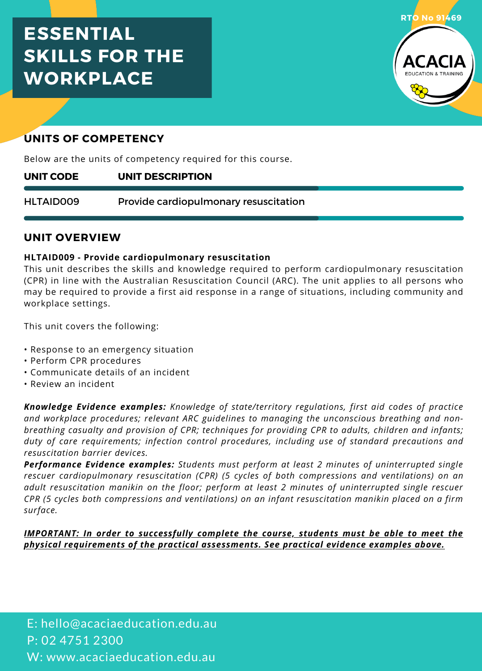## **ESSENTIAL SKILLS FOR THE WORKPLACE**



### **UNITS OF COMPETENCY**

Below are the units of competency required for this course.

#### **UNIT DESCRIPTION UNIT CODE**

Provide cardiopulmonary resuscitation HLTAID009

### **UNIT OVERVIEW**

### **HLTAID009 - Provide cardiopulmonary resuscitation**

This unit describes the skills and knowledge required to perform cardiopulmonary resuscitation (CPR) in line with the Australian Resuscitation Council (ARC). The unit applies to all persons who may be required to provide a first aid response in a range of situations, including community and workplace settings.

This unit covers the following:

- Response to an emergency situation
- Perform CPR procedures
- Communicate details of an incident
- Review an incident

*Knowledge Evidence examples: Knowledge of state/territory regulations, first aid codes of practice and workplace procedures; relevant ARC guidelines to managing the unconscious breathing and nonbreathing casualty and provision of CPR; techniques for providing CPR to adults, children and infants; duty of care requirements; infection control procedures, including use of standard precautions and resuscitation barrier devices.*

*Performance Evidence examples: Students must perform at least 2 minutes of uninterrupted single rescuer cardiopulmonary resuscitation (CPR) (5 cycles of both compressions and ventilations) on an adult resuscitation manikin on the floor; perform at least 2 minutes of uninterrupted single rescuer CPR (5 cycles both compressions and ventilations) on an infant resuscitation manikin placed on a firm surface.*

### *IMPORTANT: In order to successfully complete the course, students must be able to meet the physical requirements of the practical assessments. See practical evidence examples above.*